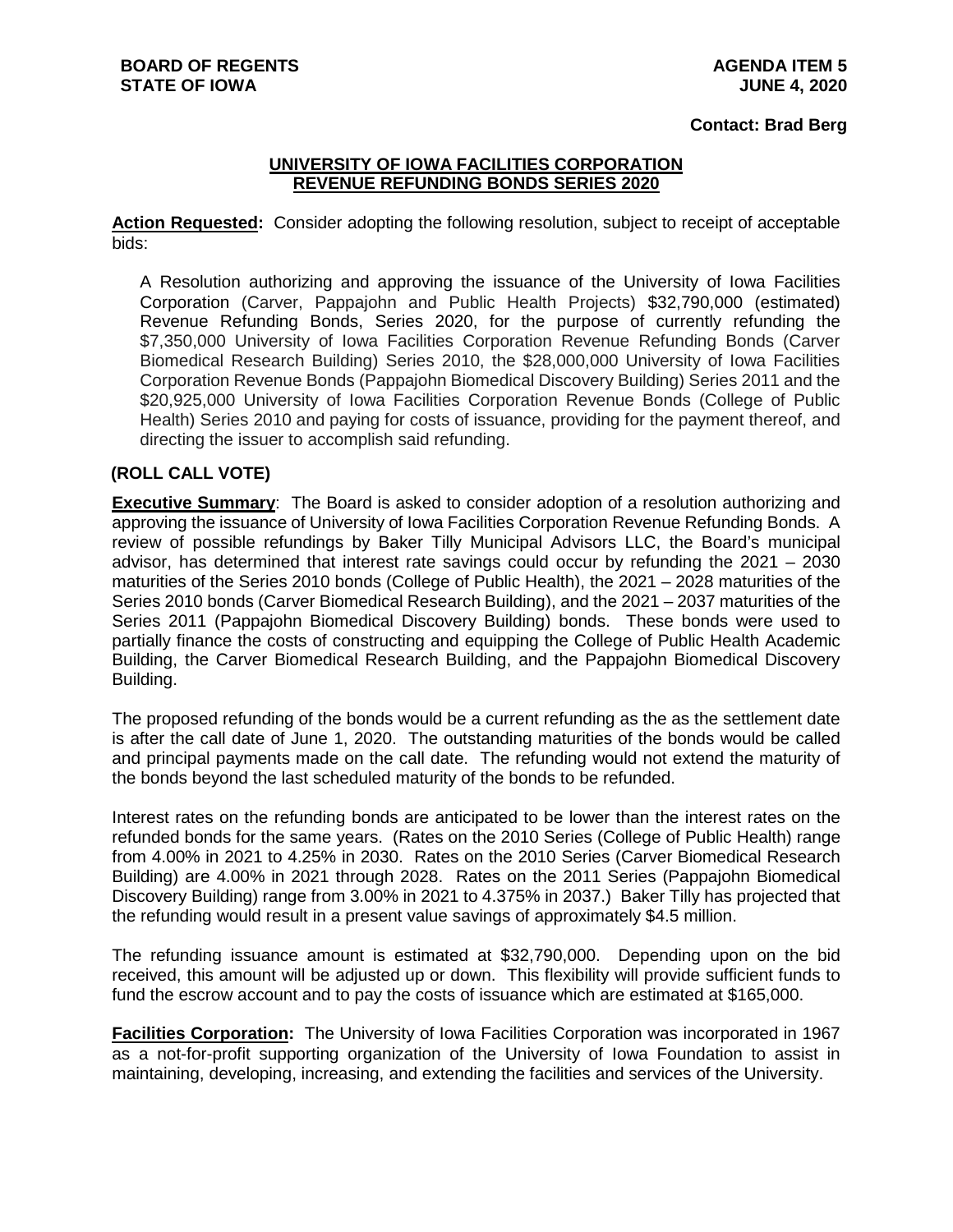## **Contact: Brad Berg**

## **UNIVERSITY OF IOWA FACILITIES CORPORATION REVENUE REFUNDING BONDS SERIES 2020**

**Action Requested:** Consider adopting the following resolution, subject to receipt of acceptable bids:

A Resolution authorizing and approving the issuance of the University of Iowa Facilities Corporation (Carver, Pappajohn and Public Health Projects) \$32,790,000 (estimated) Revenue Refunding Bonds, Series 2020, for the purpose of currently refunding the \$7,350,000 University of Iowa Facilities Corporation Revenue Refunding Bonds (Carver Biomedical Research Building) Series 2010, the \$28,000,000 University of Iowa Facilities Corporation Revenue Bonds (Pappajohn Biomedical Discovery Building) Series 2011 and the \$20,925,000 University of Iowa Facilities Corporation Revenue Bonds (College of Public Health) Series 2010 and paying for costs of issuance, providing for the payment thereof, and directing the issuer to accomplish said refunding.

## **(ROLL CALL VOTE)**

**Executive Summary**: The Board is asked to consider adoption of a resolution authorizing and approving the issuance of University of Iowa Facilities Corporation Revenue Refunding Bonds. A review of possible refundings by Baker Tilly Municipal Advisors LLC, the Board's municipal advisor, has determined that interest rate savings could occur by refunding the 2021 – 2030 maturities of the Series 2010 bonds (College of Public Health), the 2021 – 2028 maturities of the Series 2010 bonds (Carver Biomedical Research Building), and the 2021 – 2037 maturities of the Series 2011 (Pappajohn Biomedical Discovery Building) bonds. These bonds were used to partially finance the costs of constructing and equipping the College of Public Health Academic Building, the Carver Biomedical Research Building, and the Pappajohn Biomedical Discovery Building.

The proposed refunding of the bonds would be a current refunding as the as the settlement date is after the call date of June 1, 2020. The outstanding maturities of the bonds would be called and principal payments made on the call date. The refunding would not extend the maturity of the bonds beyond the last scheduled maturity of the bonds to be refunded.

Interest rates on the refunding bonds are anticipated to be lower than the interest rates on the refunded bonds for the same years. (Rates on the 2010 Series (College of Public Health) range from 4.00% in 2021 to 4.25% in 2030. Rates on the 2010 Series (Carver Biomedical Research Building) are 4.00% in 2021 through 2028. Rates on the 2011 Series (Pappajohn Biomedical Discovery Building) range from 3.00% in 2021 to 4.375% in 2037.) Baker Tilly has projected that the refunding would result in a present value savings of approximately \$4.5 million.

The refunding issuance amount is estimated at \$32,790,000. Depending upon on the bid received, this amount will be adjusted up or down. This flexibility will provide sufficient funds to fund the escrow account and to pay the costs of issuance which are estimated at \$165,000.

**Facilities Corporation:** The University of Iowa Facilities Corporation was incorporated in 1967 as a not-for-profit supporting organization of the University of Iowa Foundation to assist in maintaining, developing, increasing, and extending the facilities and services of the University.